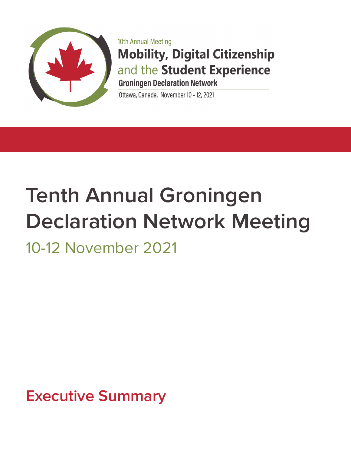

10th Annual Meeting **Mobility, Digital Citizenship** and the Student Experience **Groningen Declaration Network** 

Ottawa, Canada, November 10 - 12, 2021

# **Tenth Annual Groningen Declaration Network Meeting**

10-12 November 2021

**Executive Summary**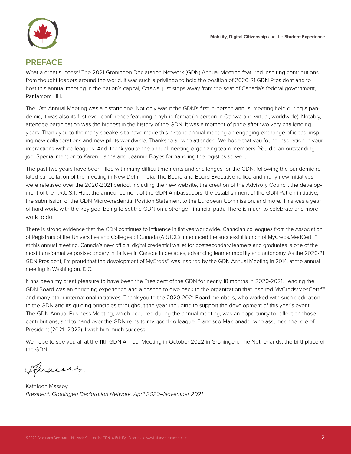

#### **PREFACE**

What a great success! The 2021 Groningen Declaration Network (GDN) Annual Meeting featured inspiring contributions from thought leaders around the world. It was such a privilege to hold the position of 2020-21 GDN President and to host this annual meeting in the nation's capital, Ottawa, just steps away from the seat of Canada's federal government, Parliament Hill.

The 10th Annual Meeting was a historic one. Not only was it the GDN's first in-person annual meeting held during a pandemic, it was also its first-ever conference featuring a hybrid format (in-person in Ottawa and virtual, worldwide). Notably, attendee participation was the highest in the history of the GDN. It was a moment of pride after two very challenging years. Thank you to the many speakers to have made this historic annual meeting an engaging exchange of ideas, inspiring new collaborations and new pilots worldwide. Thanks to all who attended. We hope that you found inspiration in your interactions with colleagues. And, thank you to the annual meeting organizing team members. You did an outstanding job. Special mention to Karen Hanna and Jeannie Boyes for handling the logistics so well.

The past two years have been filled with many difficult moments and challenges for the GDN, following the pandemic-related cancellation of the meeting in New Delhi, India. The Board and Board Executive rallied and many new initiatives were released over the 2020-2021 period, including the new website, the creation of the Advisory Council, the development of the T.R.U.S.T. Hub, the announcement of the GDN Ambassadors, the establishment of the GDN Patron initiative, the submission of the GDN Micro-credential Position Statement to the European Commission, and more. This was a year of hard work, with the key goal being to set the GDN on a stronger financial path. There is much to celebrate and more work to do.

There is strong evidence that the GDN continues to influence initiatives worldwide. Canadian colleagues from the Association of Registrars of the Universities and Colleges of Canada (ARUCC) announced the successful launch of MyCreds/MedCertif™ at this annual meeting. Canada's new official digital credential wallet for postsecondary learners and graduates is one of the most transformative postsecondary initiatives in Canada in decades, advancing learner mobility and autonomy. As the 2020-21 GDN President, I'm proud that the development of MyCreds™ was inspired by the GDN Annual Meeting in 2014, at the annual meeting in Washington, D.C.

It has been my great pleasure to have been the President of the GDN for nearly 18 months in 2020-2021. Leading the GDN Board was an enriching experience and a chance to give back to the organization that inspired MyCreds/MesCertif™ and many other international initiatives. Thank you to the 2020-2021 Board members, who worked with such dedication to the GDN and its guiding principles throughout the year, including to support the development of this year's event. The GDN Annual Business Meeting, which occurred during the annual meeting, was an opportunity to reflect on those contributions, and to hand over the GDN reins to my good colleague, Francisco Maldonado, who assumed the role of President (2021–2022). I wish him much success!

We hope to see you all at the 11th GDN Annual Meeting in October 2022 in Groningen, The Netherlands, the birthplace of the GDN.

Huarry.

Kathleen Massey *President, Groningen Declaration Network, April 2020–November 2021*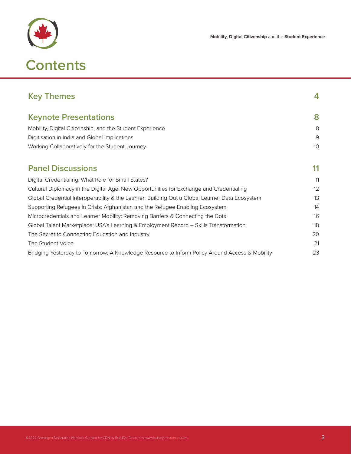

| <b>Key Themes</b>                                                                              | 4  |
|------------------------------------------------------------------------------------------------|----|
| <b>Keynote Presentations</b>                                                                   | 8  |
| Mobility, Digital Citizenship, and the Student Experience                                      | 8  |
| Digitisation in India and Global Implications                                                  | 9  |
| Working Collaboratively for the Student Journey                                                | 10 |
| <b>Panel Discussions</b>                                                                       | 11 |
| Digital Credentialing: What Role for Small States?                                             | 11 |
| Cultural Diplomacy in the Digital Age: New Opportunities for Exchange and Credentialing        | 12 |
| Global Credential Interoperability & the Learner: Building Out a Global Learner Data Ecosystem | 13 |
| Supporting Refugees in Crisis: Afghanistan and the Refugee Enabling Ecosystem                  | 14 |
| Microcredentials and Learner Mobility: Removing Barriers & Connecting the Dots                 | 16 |
| Global Talent Marketplace: USA's Learning & Employment Record - Skills Transformation          | 18 |
| The Secret to Connecting Education and Industry                                                | 20 |
| The Student Voice                                                                              | 21 |
| Bridging Yesterday to Tomorrow: A Knowledge Resource to Inform Policy Around Access & Mobility | 23 |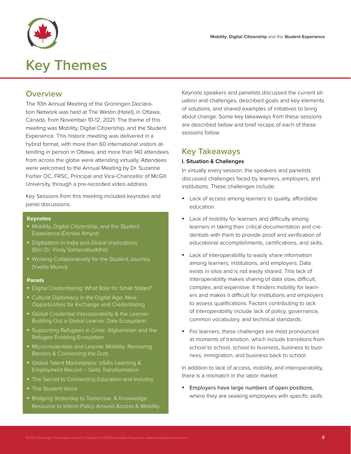

# **Key Themes**

### **Overview**

The 10th Annual Meeting of the Groningen Declaration Network was held at The Westin (Hotel), in Ottawa, Canada, from November 10-12, 2021. The theme of this meeting was Mobility, Digital Citizenship, and the Student Experience. This historic meeting was delivered in a hybrid format, with more than 60 international visitors attending in person in Ottawa, and more than 140 attendees from across the globe were attending virtually. Attendees were welcomed to the Annual Meeting by Dr. Suzanne Fortier OC, FRSC, Principal and Vice-Chancellor of McGill University, through a pre-recorded video address.

Key Sessions from this meeting included keynotes and panel discussions.

#### **Keynotes**

- Mobility, Digital Citizenship, and the Student Experience (Denise Amyot)
- Digitisation in India and Global Implications (Shri Dr. Vinay Sahasrabuddhe)
- Working Collaboratively for the Student Journey (Yvette Munro)

#### **Panels**

- Digital Credentialing: What Role for Small States?
- Cultural Diplomacy in the Digital Age: New Opportunities for Exchange and Credentialing
- Global Credential Interoperability & the Learner: Building Out a Global Learner Data Ecosystem
- Supporting Refugees in Crisis: Afghanistan and the Refugee Enabling Ecosystem
- Microcredentials and Learner Mobility: Removing Barriers & Connecting the Dots
- y Global Talent Marketplace: USA's Learning & Employment Record – Skills Transformation
- The Secret to Connecting Education and Industry
- The Student Voice
- Bridging Yesterday to Tomorrow: A Knowledge Resource to Inform Policy Around Access & Mobility

Keynote speakers and panelists discussed the current situation and challenges, described goals and key elements of solutions, and shared examples of initiatives to bring about change. Some key takeaways from these sessions are described below and brief recaps of each of these sessions follow.

#### **Key Takeaways**

#### **I. Situation & Challenges**

In virtually every session, the speakers and panelists discussed challenges faced by learners, employers, and institutions. These challenges include:

- Lack of access among learners to quality, affordable education.
- Lack of mobility for learners and difficulty among learners in taking their critical documentation and credentials with them to provide proof and verification of educational accomplishments, certifications, and skills.
- Lack of interoperability to easily share information among learners, institutions, and employers. Data exists in silos and is not easily shared. This lack of interoperability makes sharing of data slow, difficult, complex, and expensive. It hinders mobility for learners and makes it difficult for institutions and employers to assess qualifications. Factors contributing to lack of interoperability include lack of policy, governance, common vocabulary, and technical standards.
- For learners, these challenges are most pronounced at moments of transition, which include transitions from school to school, school to business, business to business, immigration, and business back to school.

In addition to lack of access, mobility, and interoperability, there is a mismatch in the labor market.

Employers have large numbers of open positions, where they are seeking employees with specific skills.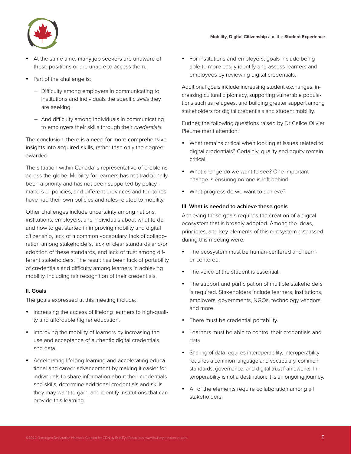

- At the same time, many job seekers are unaware of these positions or are unable to access them.
- Part of the challenge is:
	- − Difficulty among employers in communicating to institutions and individuals the specific skills they are seeking.
	- − And difficulty among individuals in communicating to employers their skills through their credentials.

The conclusion: there is a need for more comprehensive insights into acquired skills, rather than only the degree awarded.

The situation within Canada is representative of problems across the globe. Mobility for learners has not traditionally been a priority and has not been supported by policymakers or policies, and different provinces and territories have had their own policies and rules related to mobility.

Other challenges include uncertainty among nations, institutions, employers, and individuals about what to do and how to get started in improving mobility and digital citizenship, lack of a common vocabulary, lack of collaboration among stakeholders, lack of clear standards and/or adoption of these standards, and lack of trust among different stakeholders. The result has been lack of portability of credentials and difficulty among learners in achieving mobility, including fair recognition of their credentials.

#### **II. Goals**

The goals expressed at this meeting include:

- Increasing the access of lifelong learners to high-quality and affordable higher education.
- Improving the mobility of learners by increasing the use and acceptance of authentic digital credentials and data.
- Accelerating lifelong learning and accelerating educational and career advancement by making it easier for individuals to share information about their credentials and skills, determine additional credentials and skills they may want to gain, and identify institutions that can provide this learning.

• For institutions and employers, goals include being able to more easily identify and assess learners and employees by reviewing digital credentials.

Additional goals include increasing student exchanges, increasing cultural diplomacy, supporting vulnerable populations such as refugees, and building greater support among stakeholders for digital credentials and student mobility.

Further, the following questions raised by Dr Calice Olivier Pieume merit attention:

- What remains critical when looking at issues related to digital credentials? Certainly, quality and equity remain critical.
- What change do we want to see? One important change is ensuring no one is left behind.
- What progress do we want to achieve?

#### **III. What is needed to achieve these goals**

Achieving these goals requires the creation of a digital ecosystem that is broadly adopted. Among the ideas, principles, and key elements of this ecosystem discussed during this meeting were:

- The ecosystem must be human-centered and learner-centered.
- The voice of the student is essential.
- The support and participation of multiple stakeholders is required. Stakeholders include learners, institutions, employers, governments, NGOs, technology vendors, and more.
- There must be credential portability.
- Learners must be able to control their credentials and data.
- Sharing of data requires interoperability. Interoperability requires a common language and vocabulary, common standards, governance, and digital trust frameworks. Interoperability is not a destination; it is an ongoing journey.
- All of the elements require collaboration among all stakeholders.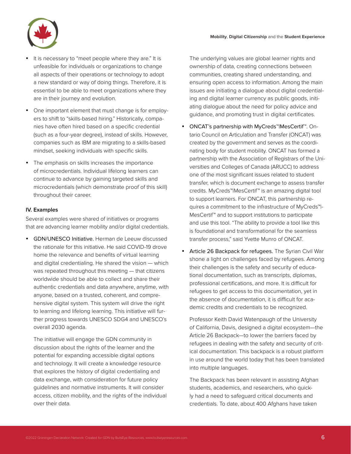

- It is necessary to "meet people where they are." It is unfeasible for individuals or organizations to change all aspects of their operations or technology to adopt a new standard or way of doing things. Therefore, it is essential to be able to meet organizations where they are in their journey and evolution.
- One important element that must change is for employers to shift to "skills-based hiring." Historically, companies have often hired based on a specific credential (such as a four-year degree), instead of skills. However, companies such as IBM are migrating to a skills-based mindset, seeking individuals with specific skills.
- The emphasis on skills increases the importance of microcredentials. Individual lifelong learners can continue to advance by gaining targeted skills and microcredentials (which demonstrate proof of this skill) throughout their career.

#### **IV. Examples**

Several examples were shared of initiatives or programs that are advancing learner mobility and/or digital credentials.

• GDN/UNESCO Initiative. Herman de Leeuw discussed the rationale for this initiative. He said COVID-19 drove home the relevance and benefits of virtual learning and digital credentialing. He shared the vision — which was repeated throughout this meeting — that citizens worldwide should be able to collect and share their authentic credentials and data anywhere, anytime, with anyone, based on a trusted, coherent, and comprehensive digital system. This system will drive the right to learning and lifelong learning. This initiative will further progress towards UNESCO SDG4 and UNESCO's overall 2030 agenda.

The initiative will engage the GDN community in discussion about the rights of the learner and the potential for expanding accessible digital options and technology. It will create a knowledge resource that explores the history of digital credentialing and data exchange, with consideration for future policy guidelines and normative instruments. It will consider access, citizen mobility, and the rights of the individual over their data.

The underlying values are global learner rights and ownership of data, creating connections between communities, creating shared understanding, and ensuring open access to information. Among the main issues are initiating a dialogue about digital credentialing and digital learner currency as public goods, initiating dialogue about the need for policy advice and guidance, and promoting trust in digital certificates.

- ONCAT's partnership with MyCreds™|MesCertif™. Ontario Council on Articulation and Transfer (ONCAT) was created by the government and serves as the coordinating body for student mobility. ONCAT has formed a partnership with the Association of Registrars of the Universities and Colleges of Canada (ARUCC) to address one of the most significant issues related to student transfer, which is document exchange to assess transfer credits. MyCreds™|MesCertif™ is an amazing digital tool to support learners. For ONCAT, this partnership requires a commitment to the infrastructure of MyCreds™|- MesCertif™ and to support institutions to participate and use this tool. "The ability to provide a tool like this is foundational and transformational for the seamless transfer process," said Yvette Munro of ONCAT.
- Article 26 Backpack for refugees. The Syrian Civil War shone a light on challenges faced by refugees. Among their challenges is the safety and security of educational documentation, such as transcripts, diplomas, professional certifications, and more. It is difficult for refugees to get access to this documentation, yet in the absence of documentation, it is difficult for academic credits and credentials to be recognized.

Professor Keith David Watenpaugh of the University of California, Davis, designed a digital ecosystem—the Article 26 Backpack—to lower the barriers faced by refugees in dealing with the safety and security of critical documentation. This backpack is a robust platform in use around the world today that has been translated into multiple languages.

The Backpack has been relevant in assisting Afghan students, academics, and researchers, who quickly had a need to safeguard critical documents and credentials. To date, about 400 Afghans have taken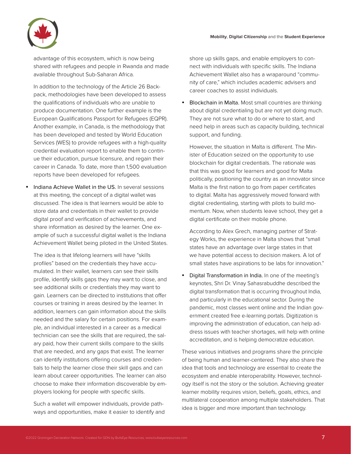

advantage of this ecosystem, which is now being shared with refugees and people in Rwanda and made available throughout Sub-Saharan Africa.

In addition to the technology of the Article 26 Backpack, methodologies have been developed to assess the qualifications of individuals who are unable to produce documentation. One further example is the European Qualifications Passport for Refugees (EQPR). Another example, in Canada, is the methodology that has been developed and tested by World Education Services (WES) to provide refugees with a high-quality credential evaluation report to enable them to continue their education, pursue licensure, and regain their career in Canada. To date, more than 1,500 evaluation reports have been developed for refugees.

Indiana Achieve Wallet in the US. In several sessions at this meeting, the concept of a digital wallet was discussed. The idea is that learners would be able to store data and credentials in their wallet to provide digital proof and verification of achievements, and share information as desired by the learner. One example of such a successful digital wallet is the Indiana Achievement Wallet being piloted in the United States.

The idea is that lifelong learners will have "skills profiles" based on the credentials they have accumulated. In their wallet, learners can see their skills profile, identify skills gaps they may want to close, and see additional skills or credentials they may want to gain. Learners can be directed to institutions that offer courses or training in areas desired by the learner. In addition, learners can gain information about the skills needed and the salary for certain positions. For example, an individual interested in a career as a medical technician can see the skills that are required, the salary paid, how their current skills compare to the skills that are needed, and any gaps that exist. The learner can identify institutions offering courses and credentials to help the learner close their skill gaps and can learn about career opportunities. The learner can also choose to make their information discoverable by employers looking for people with specific skills.

Such a wallet will empower individuals, provide pathways and opportunities, make it easier to identify and shore up skills gaps, and enable employers to connect with individuals with specific skills. The Indiana Achievement Wallet also has a wraparound "community of care," which includes academic advisers and career coaches to assist individuals.

• Blockchain in Malta. Most small countries are thinking about digital credentialing but are not yet doing much. They are not sure what to do or where to start, and need help in areas such as capacity building, technical support, and funding.

However, the situation in Malta is different. The Minister of Education seized on the opportunity to use blockchain for digital credentials. The rationale was that this was good for learners and good for Malta politically, positioning the country as an innovator since Malta is the first nation to go from paper certificates to digital. Malta has aggressively moved forward with digital credentialing, starting with pilots to build momentum. Now, when students leave school, they get a digital certificate on their mobile phone.

According to Alex Grech, managing partner of Strategy Works, the experience in Malta shows that "small states have an advantage over large states in that we have potential access to decision makers. A lot of small states have aspirations to be labs for innovation."

Digital Transformation in India. In one of the meeting's keynotes, Shri Dr. Vinay Sahasrabuddhe described the digital transformation that is occurring throughout India, and particularly in the educational sector. During the pandemic, most classes went online and the Indian government created free e-learning portals. Digitization is improving the administration of education, can help address issues with teacher shortages, will help with online accreditation, and is helping democratize education.

These various initiatives and programs share the principle of being human and learner-centered. They also share the idea that tools and technology are essential to create the ecosystem and enable interoperability. However, technology itself is not the story or the solution. Achieving greater learner mobility requires vision, beliefs, goals, ethics, and multilateral cooperation among multiple stakeholders. That idea is bigger and more important than technology.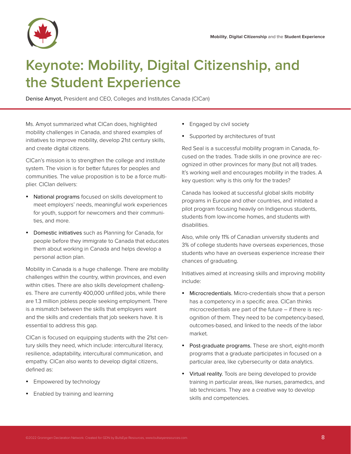

### **Keynote: Mobility, Digital Citizenship, and the Student Experience**

Denise Amyot, President and CEO, Colleges and Institutes Canada (CICan)

Ms. Amyot summarized what CICan does, highlighted mobility challenges in Canada, and shared examples of initiatives to improve mobility, develop 21st century skills, and create digital citizens.

CICan's mission is to strengthen the college and institute system. The vision is for better futures for peoples and communities. The value proposition is to be a force multiplier. CICIan delivers:

- National programs focused on skills development to meet employers' needs, meaningful work experiences for youth, support for newcomers and their communities, and more.
- Domestic initiatives such as Planning for Canada, for people before they immigrate to Canada that educates them about working in Canada and helps develop a personal action plan.

Mobility in Canada is a huge challenge. There are mobility challenges within the country, within provinces, and even within cities. There are also skills development challenges. There are currently 400,000 unfilled jobs, while there are 1.3 million jobless people seeking employment. There is a mismatch between the skills that employers want and the skills and credentials that job seekers have. It is essential to address this gap.

CICan is focused on equipping students with the 21st century skills they need, which include: intercultural literacy, resilience, adaptability, intercultural communication, and empathy. CICan also wants to develop digital citizens, defined as:

- Empowered by technology
- Enabled by training and learning
- Engaged by civil society
- Supported by architectures of trust

Red Seal is a successful mobility program in Canada, focused on the trades. Trade skills in one province are recognized in other provinces for many (but not all) trades. It's working well and encourages mobility in the trades. A key question: why is this only for the trades?

Canada has looked at successful global skills mobility programs in Europe and other countries, and initiated a pilot program focusing heavily on Indigenous students, students from low-income homes, and students with disabilities.

Also, while only 11% of Canadian university students and 3% of college students have overseas experiences, those students who have an overseas experience increase their chances of graduating.

Initiatives aimed at increasing skills and improving mobility include:

- Microcredentials. Micro-credentials show that a person has a competency in a specific area. CICan thinks microcredentials are part of the future – if there is recognition of them. They need to be competency-based, outcomes-based, and linked to the needs of the labor market.
- Post-graduate programs. These are short, eight-month programs that a graduate participates in focused on a particular area, like cybersecurity or data analytics.
- Virtual reality. Tools are being developed to provide training in particular areas, like nurses, paramedics, and lab technicians. They are a creative way to develop skills and competencies.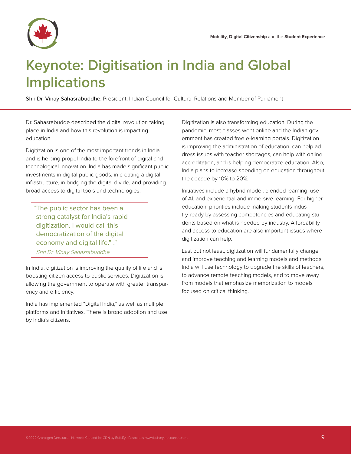

### **Keynote: Digitisation in India and Global Implications**

Shri Dr. Vinay Sahasrabuddhe, President, Indian Council for Cultural Relations and Member of Parliament

Dr. Sahasrabudde described the digital revolution taking place in India and how this revolution is impacting education.

Digitization is one of the most important trends in India and is helping propel India to the forefront of digital and technological innovation. India has made significant public investments in digital public goods, in creating a digital infrastructure, in bridging the digital divide, and providing broad access to digital tools and technologies.

"The public sector has been a strong catalyst for India's rapid digitization. I would call this democratization of the digital economy and digital life." ." Shri Dr. Vinay Sahasrabuddhe

In India, digitization is improving the quality of life and is boosting citizen access to public services. Digitization is allowing the government to operate with greater transparency and efficiency.

India has implemented "Digital India," as well as multiple platforms and initiatives. There is broad adoption and use by India's citizens.

Digitization is also transforming education. During the pandemic, most classes went online and the Indian government has created free e-learning portals. Digitization is improving the administration of education, can help address issues with teacher shortages, can help with online accreditation, and is helping democratize education. Also, India plans to increase spending on education throughout the decade by 10% to 20%.

Initiatives include a hybrid model, blended learning, use of AI, and experiential and immersive learning. For higher education, priorities include making students industry-ready by assessing competencies and educating students based on what is needed by industry. Affordability and access to education are also important issues where digitization can help.

Last but not least, digitization will fundamentally change and improve teaching and learning models and methods. India will use technology to upgrade the skills of teachers, to advance remote teaching models, and to move away from models that emphasize memorization to models focused on critical thinking.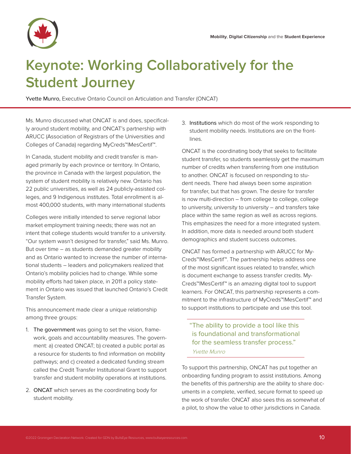

## **Keynote: Working Collaboratively for the Student Journey**

Yvette Munro, Executive Ontario Council on Articulation and Transfer (ONCAT)

Ms. Munro discussed what ONCAT is and does, specifically around student mobility, and ONCAT's partnership with ARUCC (Association of Registrars of the Universities and Colleges of Canada) regarding MyCreds™|MesCertif™.

In Canada, student mobility and credit transfer is managed primarily by each province or territory. In Ontario, the province in Canada with the largest population, the system of student mobility is relatively new. Ontario has 22 public universities, as well as 24 publicly-assisted colleges, and 9 Indigenous institutes. Total enrollment is almost 400,000 students, with many international students

Colleges were initially intended to serve regional labor market employment training needs; there was not an intent that college students would transfer to a university. "Our system wasn't designed for transfer," said Ms. Munro. But over time – as students demanded greater mobility and as Ontario wanted to increase the number of international students – leaders and policymakers realized that Ontario's mobility policies had to change. While some mobility efforts had taken place, in 2011 a policy statement in Ontario was issued that launched Ontario's Credit Transfer System.

This announcement made clear a unique relationship among three groups:

- 1. The government was going to set the vision, framework, goals and accountability measures. The government: a) created ONCAT; b) created a public portal as a resource for students to find information on mobility pathways; and c) created a dedicated funding stream called the Credit Transfer Institutional Grant to support transfer and student mobility operations at institutions.
- 2. ONCAT which serves as the coordinating body for student mobility.

3. Institutions which do most of the work responding to student mobility needs. Institutions are on the frontlines.

ONCAT is the coordinating body that seeks to facilitate student transfer, so students seamlessly get the maximum number of credits when transferring from one institution to another. ONCAT is focused on responding to student needs. There had always been some aspiration for transfer, but that has grown. The desire for transfer is now multi-direction – from college to college, college to university, university to university – and transfers take place within the same region as well as across regions. This emphasizes the need for a more integrated system. In addition, more data is needed around both student demographics and student success outcomes.

ONCAT has formed a partnership with ARUCC for My-Creds™|MesCertif™. The partnership helps address one of the most significant issues related to transfer, which is document exchange to assess transfer credits. My-Creds™|MesCertif™ is an amazing digital tool to support learners. For ONCAT, this partnership represents a commitment to the infrastructure of MyCreds™|MesCertif™ and to support institutions to participate and use this tool.

"The ability to provide a tool like this is foundational and transformational for the seamless transfer process." Yvette Munro

To support this partnership, ONCAT has put together an onboarding funding program to assist institutions. Among the benefits of this partnership are the ability to share documents in a complete, verified, secure format to speed up the work of transfer. ONCAT also sees this as somewhat of a pilot, to show the value to other jurisdictions in Canada.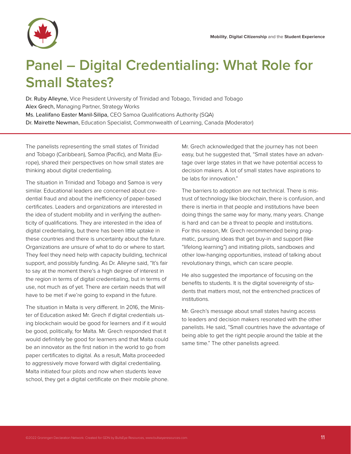

### **Panel – Digital Credentialing: What Role for Small States?**

Dr. Ruby Alleyne, Vice President University of Trinidad and Tobago, Trinidad and Tobago Alex Grech, Managing Partner, Strategy Works Ms. Lealiifano Easter Manil-Silipa, CEO Samoa Qualifications Authority (SQA) Dr. Mairette Newman, Education Specialist, Commonwealth of Learning, Canada (Moderator)

The panelists representing the small states of Trinidad and Tobago (Caribbean), Samoa (Pacific), and Malta (Europe), shared their perspectives on how small states are thinking about digital credentialing.

The situation in Trinidad and Tobago and Samoa is very similar. Educational leaders are concerned about credential fraud and about the inefficiency of paper-based certificates. Leaders and organizations are interested in the idea of student mobility and in verifying the authenticity of qualifications. They are interested in the idea of digital credentialing, but there has been little uptake in these countries and there is uncertainty about the future. Organizations are unsure of what to do or where to start. They feel they need help with capacity building, technical support, and possibly funding. As Dr. Alleyne said, "It's fair to say at the moment there's a high degree of interest in the region in terms of digital credentialing, but in terms of use, not much as of yet. There are certain needs that will have to be met if we're going to expand in the future.

The situation in Malta is very different. In 2016, the Minister of Education asked Mr. Grech if digital credentials using blockchain would be good for learners and if it would be good, politically, for Malta. Mr. Grech responded that it would definitely be good for learners and that Malta could be an innovator as the first nation in the world to go from paper certificates to digital. As a result, Malta proceeded to aggressively move forward with digital credentialing. Malta initiated four pilots and now when students leave school, they get a digital certificate on their mobile phone.

Mr. Grech acknowledged that the journey has not been easy, but he suggested that, "Small states have an advantage over large states in that we have potential access to decision makers. A lot of small states have aspirations to be labs for innovation."

The barriers to adoption are not technical. There is mistrust of technology like blockchain, there is confusion, and there is inertia in that people and institutions have been doing things the same way for many, many years. Change is hard and can be a threat to people and institutions. For this reason, Mr. Grech recommended being pragmatic, pursuing ideas that get buy-in and support (like "lifelong learning") and initiating pilots, sandboxes and other low-hanging opportunities, instead of talking about revolutionary things, which can scare people.

He also suggested the importance of focusing on the benefits to students. It is the digital sovereignty of students that matters most, not the entrenched practices of institutions.

Mr. Grech's message about small states having access to leaders and decision makers resonated with the other panelists. He said, "Small countries have the advantage of being able to get the right people around the table at the same time." The other panelists agreed.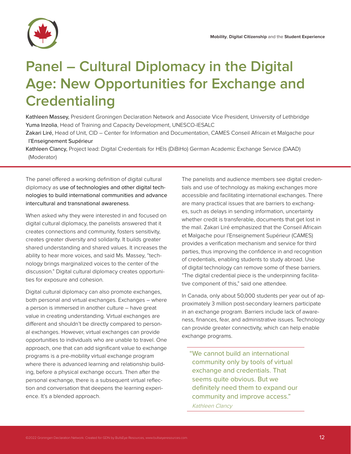

# **Panel – Cultural Diplomacy in the Digital Age: New Opportunities for Exchange and Credentialing**

Kathleen Massey, President Groningen Declaration Network and Associate Vice President, University of Lethbridge Yuma Inzolia, Head of Training and Capacity Development, UNESCO-IESALC

Zakari Liré, Head of Unit, CID – Center for Information and Documentation, CAMES Conseil Africain et Malgache pour l'Enseignement Supérieur

Kathleen Clancy, Project lead: Digital Credentials for HEIs (DiBiHo) German Academic Exchange Service (DAAD) (Moderator)

The panel offered a working definition of digital cultural diplomacy as use of technologies and other digital technologies to build international communities and advance intercultural and transnational awareness.

When asked why they were interested in and focused on digital cultural diplomacy, the panelists answered that it creates connections and community, fosters sensitivity, creates greater diversity and solidarity. It builds greater shared understanding and shared values. It increases the ability to hear more voices, and said Ms. Massey, "technology brings marginalized voices to the center of the discussion." Digital cultural diplomacy creates opportunities for exposure and cohesion.

Digital cultural diplomacy can also promote exchanges, both personal and virtual exchanges. Exchanges – where a person is immersed in another culture – have great value in creating understanding. Virtual exchanges are different and shouldn't be directly compared to personal exchanges. However, virtual exchanges can provide opportunities to individuals who are unable to travel. One approach, one that can add significant value to exchange programs is a pre-mobility virtual exchange program where there is advanced learning and relationship building, before a physical exchange occurs. Then after the personal exchange, there is a subsequent virtual reflection and conversation that deepens the learning experience. It's a blended approach.

The panelists and audience members see digital credentials and use of technology as making exchanges more accessible and facilitating international exchanges. There are many practical issues that are barriers to exchanges, such as delays in sending information, uncertainty whether credit is transferable, documents that get lost in the mail. Zakari Liré emphasized that the Conseil Africain et Malgache pour l'Enseignement Supérieur (CAMES) provides a verification mechanism and service for third parties, thus improving the confidence in and recognition of credentials, enabling students to study abroad. Use of digital technology can remove some of these barriers. "The digital credential piece is the underpinning facilitative component of this," said one attendee.

In Canada, only about 50,000 students per year out of approximately 3 million post-secondary learners participate in an exchange program. Barriers include lack of awareness, finances, fear, and administrative issues. Technology can provide greater connectivity, which can help enable exchange programs.

"We cannot build an international community only by tools of virtual exchange and credentials. That seems quite obvious. But we definitely need them to expand our community and improve access." Kathleen Clancy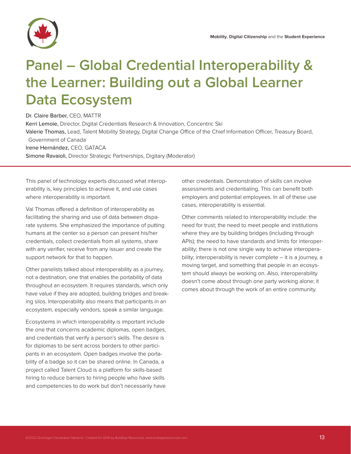

# **Panel – Global Credential Interoperability & the Learner: Building out a Global Learner Data Ecosystem**

#### Dr. Claire Barber, CEO, MATTR

Kerri Lemoie, Director, Digital Credentials Research & Innovation, Concentric Ski Valerie Thomas, Lead, Talent Mobility Strategy, Digital Change Office of the Chief Information Officer, Treasury Board, Government of Canada Irene Hernández, CEO, GATACA Simone Ravaioli, Director Strategic Partnerships, Digitary (Moderator)

This panel of technology experts discussed what interoperability is, key principles to achieve it, and use cases where interoperability is important.

Val Thomas offered a definition of interoperability as facilitating the sharing and use of data between disparate systems. She emphasized the importance of putting humans at the center so a person can present his/her credentials, collect credentials from all systems, share with any verifier, receive from any issuer and create the support network for that to happen.

Other panelists talked about interoperability as a journey, not a destination, one that enables the portability of data throughout an ecosystem. It requires standards, which only have value if they are adopted, building bridges and breaking silos. Interoperability also means that participants in an ecosystem, especially vendors, speak a similar language.

Ecosystems in which interoperability is important include the one that concerns academic diplomas, open badges, and credentials that verify a person's skills. The desire is for diplomas to be sent across borders to other participants in an ecosystem. Open badges involve the portability of a badge so it can be shared online. In Canada, a project called Talent Cloud is a platform for skills-based hiring to reduce barriers to hiring people who have skills and competencies to do work but don't necessarily have

other credentials. Demonstration of skills can involve assessments and credentialing. This can benefit both employers and potential employees. In all of these use cases, interoperability is essential.

Other comments related to interoperability include: the need for trust; the need to meet people and institutions where they are by building bridges (including through APIs); the need to have standards and limits for interoperability; there is not one single way to achieve interoperability; interoperability is never complete – it is a journey, a moving target, and something that people in an ecosystem should always be working on. Also, interoperability doesn't come about through one party working alone; it comes about through the work of an entire community.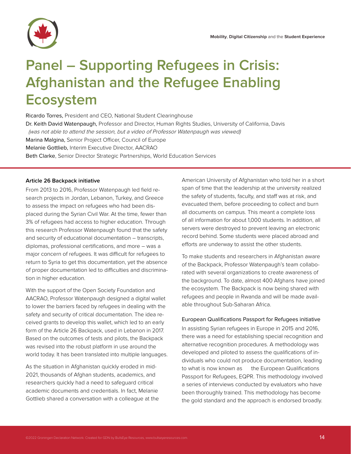

## **Panel – Supporting Refugees in Crisis: Afghanistan and the Refugee Enabling Ecosystem**

Ricardo Torres, President and CEO, National Student Clearinghouse Dr. Keith David Watenpaugh, Professor and Director, Human Rights Studies, University of California, Davis (was not able to attend the session, but a video of Professor Watenpaugh was viewed) Marina Malgina, Senior Project Officer, Council of Europe Melanie Gottlieb, Interim Executive Director, AACRAO Beth Clarke, Senior Director Strategic Partnerships, World Education Services

#### **Article 26 Backpack initiative**

From 2013 to 2016, Professor Watenpaugh led field research projects in Jordan, Lebanon, Turkey, and Greece to assess the impact on refugees who had been displaced during the Syrian Civil War. At the time, fewer than 3% of refugees had access to higher education. Through this research Professor Watenpaugh found that the safety and security of educational documentation – transcripts, diplomas, professional certifications, and more – was a major concern of refugees. It was difficult for refugees to return to Syria to get this documentation, yet the absence of proper documentation led to difficulties and discrimination in higher education.

With the support of the Open Society Foundation and AACRAO, Professor Watenpaugh designed a digital wallet to lower the barriers faced by refugees in dealing with the safety and security of critical documentation. The idea received grants to develop this wallet, which led to an early form of the Article 26 Backpack, used in Lebanon in 2017. Based on the outcomes of tests and pilots, the Backpack was revised into the robust platform in use around the world today. It has been translated into multiple languages.

As the situation in Afghanistan quickly eroded in mid-2021, thousands of Afghan students, academics, and researchers quickly had a need to safeguard critical academic documents and credentials. In fact, Melanie Gottlieb shared a conversation with a colleague at the American University of Afghanistan who told her in a short span of time that the leadership at the university realized the safety of students, faculty, and staff was at risk, and evacuated them, before proceeding to collect and burn all documents on campus. This meant a complete loss of all information for about 1,000 students. In addition, all servers were destroyed to prevent leaving an electronic record behind. Some students were placed abroad and efforts are underway to assist the other students.

To make students and researchers in Afghanistan aware of the Backpack, Professor Watenpaugh's team collaborated with several organizations to create awareness of the background. To date, almost 400 Afghans have joined the ecosystem. The Backpack is now being shared with refugees and people in Rwanda and will be made available throughout Sub-Saharan Africa.

#### European Qualifications Passport for Refugees initiative

In assisting Syrian refugees in Europe in 2015 and 2016, there was a need for establishing special recognition and alternative recognition procedures. A methodology was developed and piloted to assess the qualifications of individuals who could not produce documentation, leading to what is now known as the European Qualifications Passport for Refugees, EQPR. This methodology involved a series of interviews conducted by evaluators who have been thoroughly trained. This methodology has become the gold standard and the approach is endorsed broadly.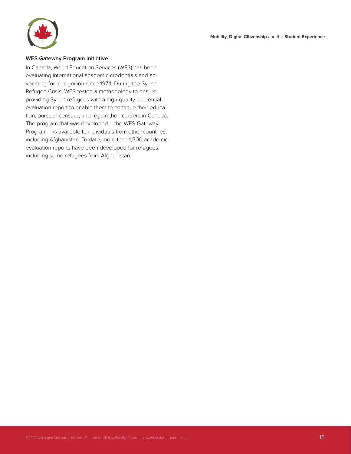**Mobility**, **Digital Citizenship** and the **Student Experience**



#### **WES Gateway Program initiative**

In Canada, World Education Services (WES) has been evaluating international academic credentials and advocating for recognition since 1974. During the Syrian Refugee Crisis, WES tested a methodology to ensure providing Syrian refugees with a high-quality credential evaluation report to enable them to continue their education, pursue licensure, and regain their careers in Canada. The program that was developed – the WES Gateway Program – is available to individuals from other countries, including Afghanistan. To date, more than 1,500 academic evaluation reports have been developed for refugees, including some refugees from Afghanistan.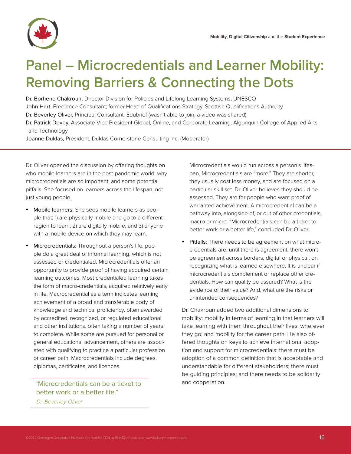

### **Panel – Microcredentials and Learner Mobility: Removing Barriers & Connecting the Dots**

Dr. Borhene Chakroun, Director Division for Policies and Lifelong Learning Systems, UNESCO

John Hart, Freelance Consultant; former Head of Qualifications Strategy, Scottish Qualifications Authority

Dr. Beverley Oliver, Principal Consultant, Edubrief (wasn't able to join; a video was shared)

Dr. Patrick Devey, Associate Vice President Global, Online, and Corporate Learning, Algonquin College of Applied Arts and Technology

Joanne Duklas, President, Duklas Cornerstone Consulting Inc. (Moderator)

Dr. Oliver opened the discussion by offering thoughts on who mobile learners are in the post-pandemic world, why microcredentials are so important, and some potential pitfalls. She focused on learners across the lifespan, not just young people.

- Mobile learners: She sees mobile learners as people that: 1) are physically mobile and go to a different region to learn; 2) are digitally mobile; and 3) anyone with a mobile device on which they may learn.
- Microcredentials: Throughout a person's life, people do a great deal of informal learning, which is not assessed or credentialed. Microcredentials offer an opportunity to provide proof of having acquired certain learning outcomes. Most credentialed learning takes the form of macro-credentials, acquired relatively early in life. Macrocredential as a term indicates learning achievement of a broad and transferable body of knowledge and technical proficiency, often awarded by accredited, recognized, or regulated educational and other institutions, often taking a number of years to complete. While some are pursued for personal or general educational advancement, others are associated with qualifying to practice a particular profession or career path. Macrocredentials include degrees, diplomas, certificates, and licences.

#### "Microcredentials can be a ticket to better work or a better life."

Dr. Beverley Oliver

Microcredentials would run across a person's lifespan. Microcredentials are "more." They are shorter, they usually cost less money, and are focused on a particular skill set. Dr. Oliver believes they should be assessed. They are for people who want proof of warranted achievement. A microcredential can be a pathway into, alongside of, or out of other credentials, macro or micro. "Microcredentials can be a ticket to better work or a better life," concluded Dr. Oliver.

Pitfalls: There needs to be agreement on what microcredentials are; until there is agreement, there won't be agreement across borders, digital or physical, on recognizing what is learned elsewhere. It is unclear if microcredentials complement or replace other credentials. How can quality be assured? What is the evidence of their value? And, what are the risks or unintended consequences?

Dr. Chakroun added two additional dimensions to mobility: mobility in terms of learning in that learners will take learning with them throughout their lives, wherever they go; and mobility for the career path. He also offered thoughts on keys to achieve international adoption and support for microcredentials: there must be adoption of a common definition that is acceptable and understandable for different stakeholders; there must be guiding principles; and there needs to be solidarity and cooperation.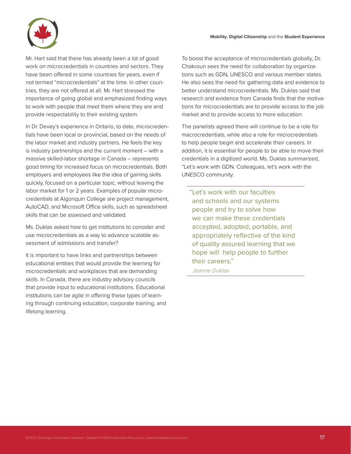

Mr. Hart said that there has already been a lot of good work on microcredentials in countries and sectors. They have been offered in some countries for years, even if not termed "microcredentials" at the time. In other countries, they are not offered at all. Mr. Hart stressed the importance of going global and emphasized finding ways to work with people that meet them where they are and provide respectability to their existing system.

In Dr. Devey's experience in Ontario, to date, microcredentials have been local or provincial, based on the needs of the labor market and industry partners. He feels the key is industry partnerships and the current moment – with a massive skilled-labor shortage in Canada – represents good timing for increased focus on microcredentials. Both employers and employees like the idea of gaining skills quickly, focused on a particular topic, without leaving the labor market for 1 or 2 years. Examples of popular microcredentials at Algonquin College are project management, AutoCAD, and Microsoft Office skills, such as spreadsheet skills that can be assessed and validated.

Ms. Duklas asked how to get institutions to consider and use microcredentials as a way to advance scalable assessment of admissions and transfer?

It is important to have links and partnerships between educational entities that would provide the learning for microcredentials and workplaces that are demanding skills. In Canada, there are industry advisory councils that provide input to educational institutions. Educational institutions can be agile in offering these types of learning through continuing education, corporate training, and lifelong learning.

To boost the acceptance of microcredentials globally, Dr. Chakroun sees the need for collaboration by organizations such as GDN, UNESCO and various member states. He also sees the need for gathering data and evidence to better understand microcredentials. Ms. Duklas said that research and evidence from Canada finds that the motivations for microcredentials are to provide access to the job market and to provide access to more education.

The panelists agreed there will continue to be a role for macrocredentials, while also a role for microcredentials to help people begin and accelerate their careers. In addition, it is essential for people to be able to move their credentials in a digitized world. Ms. Duklas summarized, "Let's work with GDN. Colleagues, let's work with the UNESCO community.

"Let's work with our faculties and schools and our systems people and try to solve how we can make these credentials accepted, adopted, portable, and appropriately reflective of the kind of quality assured learning that we hope will help people to further their careers."

Joanne Duklas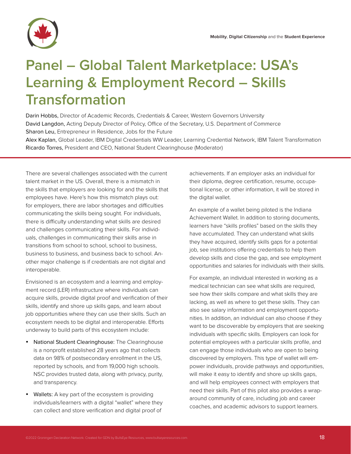## **Panel – Global Talent Marketplace: USA's Learning & Employment Record – Skills Transformation**

Darin Hobbs, Director of Academic Records, Credentials & Career, Western Governors University David Langdon, Acting Deputy Director of Policy, Office of the Secretary, U.S. Department of Commerce Sharon Leu, Entrepreneur in Residence, Jobs for the Future

Alex Kaplan, Global Leader, IBM Digital Credentials WW Leader, Learning Credential Network, IBM Talent Transformation Ricardo Torres, President and CEO, National Student Clearinghouse (Moderator)

There are several challenges associated with the current talent market in the US. Overall, there is a mismatch in the skills that employers are looking for and the skills that employees have. Here's how this mismatch plays out: for employers, there are labor shortages and difficulties communicating the skills being sought. For individuals, there is difficulty understanding what skills are desired and challenges communicating their skills. For individuals, challenges in communicating their skills arise in transitions from school to school, school to business, business to business, and business back to school. Another major challenge is if credentials are not digital and interoperable.

Envisioned is an ecosystem and a learning and employment record (LER) infrastructure where individuals can acquire skills, provide digital proof and verification of their skills, identify and shore up skills gaps, and learn about job opportunities where they can use their skills. Such an ecosystem needs to be digital and interoperable. Efforts underway to build parts of this ecosystem include:

- National Student Clearinghouse: The Clearinghouse is a nonprofit established 28 years ago that collects data on 98% of postsecondary enrollment in the US, reported by schools, and from 19,000 high schools. NSC provides trusted data, along with privacy, purity, and transparency.
- Wallets: A key part of the ecosystem is providing individuals/learners with a digital "wallet" where they can collect and store verification and digital proof of

achievements. If an employer asks an individual for their diploma, degree certification, resume, occupational license, or other information, it will be stored in the digital wallet.

An example of a wallet being piloted is the Indiana Achievement Wallet. In addition to storing documents, learners have "skills profiles" based on the skills they have accumulated. They can understand what skills they have acquired, identify skills gaps for a potential job, see institutions offering credentials to help them develop skills and close the gap, and see employment opportunities and salaries for individuals with their skills.

For example, an individual interested in working as a medical technician can see what skills are required, see how their skills compare and what skills they are lacking, as well as where to get these skills. They can also see salary information and employment opportunities. In addition, an individual can also choose if they want to be discoverable by employers that are seeking individuals with specific skills. Employers can look for potential employees with a particular skills profile, and can engage those individuals who are open to being discovered by employers. This type of wallet will empower individuals, provide pathways and opportunities, will make it easy to identify and shore up skills gaps, and will help employees connect with employers that need their skills. Part of this pilot also provides a wraparound community of care, including job and career coaches, and academic advisors to support learners.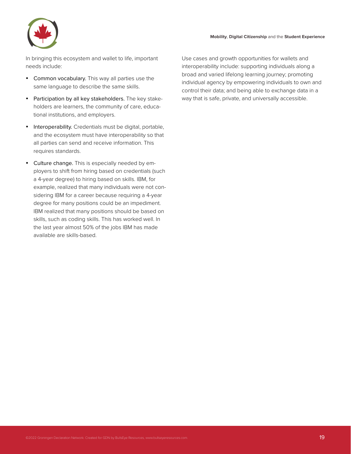

In bringing this ecosystem and wallet to life, important needs include:

- Common vocabulary. This way all parties use the same language to describe the same skills.
- Participation by all key stakeholders. The key stakeholders are learners, the community of care, educational institutions, and employers.
- Interoperability. Credentials must be digital, portable, and the ecosystem must have interoperability so that all parties can send and receive information. This requires standards.
- Culture change. This is especially needed by employers to shift from hiring based on credentials (such a 4-year degree) to hiring based on skills. IBM, for example, realized that many individuals were not considering IBM for a career because requiring a 4-year degree for many positions could be an impediment. IBM realized that many positions should be based on skills, such as coding skills. This has worked well. In the last year almost 50% of the jobs IBM has made available are skills-based.

Use cases and growth opportunities for wallets and interoperability include: supporting individuals along a broad and varied lifelong learning journey; promoting individual agency by empowering individuals to own and control their data; and being able to exchange data in a way that is safe, private, and universally accessible.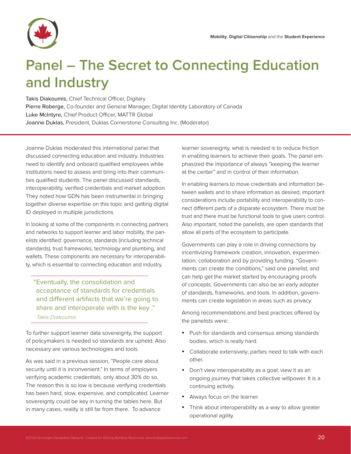

### **Panel – The Secret to Connecting Education and Industry**

Takis Diakoumis, Chief Technical Officer, Digitary Pierre Roberge, Co-founder and General Manager, Digital Identity Laboratory of Canada Luke McIntyre, Chief Product Officer, MATTR Global Joanne Duklas, President, Duklas Cornerstone Consulting Inc. (Moderator)

Joanne Duklas moderated this international panel that discussed connecting education and industry. Industries need to identify and onboard qualified employees while institutions need to assess and bring into their communities qualified students. The panel discussed standards, interoperability, verified credentials and market adoption. They noted how GDN has been instrumental in bringing together diverse expertise on this topic and getting digital ID deployed in multiple jurisdictions.

In looking at some of the components in connecting partners and networks to support learner and labor mobility, the panelists identified: governance, standards (including technical standards), trust frameworks, technology and plumbing, and wallets. These components are necessary for interoperability, which is essential to connecting education and industry.

"Eventually, the consolidation and acceptance of standards for credentials and different artifacts that we're going to share and interoperate with is the key ." Takis Diakoumis

To further support learner data sovereignty, the support of policymakers is needed so standards are upheld. Also necessary are various technologies and tools.

As was said in a previous session, "People care about security until it is inconvenient." In terms of employers verifying academic credentials, only about 30% do so. The reason this is so low is because verifying credentials has been hard, slow, expensive, and complicated. Learner sovereignty could be key in turning the tables here. But in many cases, reality is still far from there. To advance

learner sovereignty, what is needed is to reduce friction in enabling learners to achieve their goals. The panel emphasized the importance of always "keeping the learner at the center" and in control of their information.

In enabling learners to move credentials and information between wallets and to share information as desired, important considerations include portability and interoperability to connect different parts of a disparate ecosystem. There must be trust and there must be functional tools to give users control. Also important, noted the panelists, are open standards that allow all parts of the ecosystem to participate.

Governments can play a role in driving connections by incentivizing framework creation, innovation, experimentation, collaboration and by providing funding. "Governments can create the conditions," said one panelist, and can help get the market started by encouraging proofs of concepts. Governments can also be an early adopter of standards, frameworks, and tools. In addition, governments can create legislation in areas such as privacy.

Among recommendations and best practices offered by the panelists were:

- Push for standards and consensus among standards bodies, which is really hard.
- Collaborate extensively; parties need to talk with each other.
- Don't view interoperability as a goal; view it as an ongoing journey that takes collective willpower. It is a continuing activity.
- Always focus on the learner.
- Think about interoperability as a way to allow greater operational agility.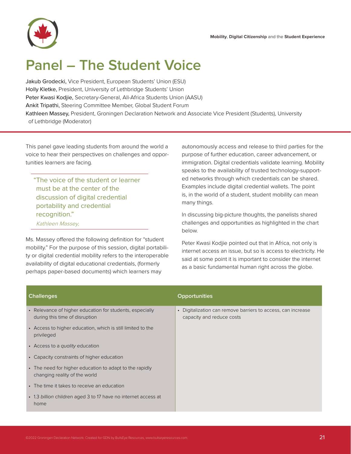**Mobility**, **Digital Citizenship** and the **Student Experience**



### **Panel – The Student Voice**

Jakub Grodecki, Vice President, European Students' Union (ESU) Holly Kletke, President, University of Lethbridge Students' Union Peter Kwasi Kodjie, Secretary-General, All-Africa Students Union (AASU) Ankit Tripathi, Steering Committee Member, Global Student Forum Kathleen Massey, President, Groningen Declaration Network and Associate Vice President (Students), University of Lethbridge (Moderator)

This panel gave leading students from around the world a voice to hear their perspectives on challenges and opportunities learners are facing.

"The voice of the student or learner must be at the center of the discussion of digital credential portability and credential recognition." Kathleen Massey,

Ms. Massey offered the following definition for "student mobility." For the purpose of this session, digital portability or digital credential mobility refers to the interoperable availability of digital educational credentials, (formerly perhaps paper-based documents) which learners may

autonomously access and release to third parties for the purpose of further education, career advancement, or immigration. Digital credentials validate learning. Mobility speaks to the availability of trusted technology-supported networks through which credentials can be shared. Examples include digital credential wallets. The point is, in the world of a student, student mobility can mean many things.

In discussing big-picture thoughts, the panelists shared challenges and opportunities as highlighted in the chart below.

Peter Kwasi Kodjie pointed out that in Africa, not only is internet access an issue, but so is access to electricity. He said at some point it is important to consider the internet as a basic fundamental human right across the globe.

| <b>Challenges</b>                                                                          | <b>Opportunities</b>                                                                                 |
|--------------------------------------------------------------------------------------------|------------------------------------------------------------------------------------------------------|
| • Relevance of higher education for students, especially<br>during this time of disruption | Digitalization can remove barriers to access, can increase<br>$\bullet$<br>capacity and reduce costs |
| • Access to higher education, which is still limited to the<br>privileged                  |                                                                                                      |
| • Access to a quality education                                                            |                                                                                                      |
| • Capacity constraints of higher education                                                 |                                                                                                      |
| • The need for higher education to adapt to the rapidly<br>changing reality of the world   |                                                                                                      |
| • The time it takes to receive an education                                                |                                                                                                      |
| • 1.3 billion children aged 3 to 17 have no internet access at<br>home                     |                                                                                                      |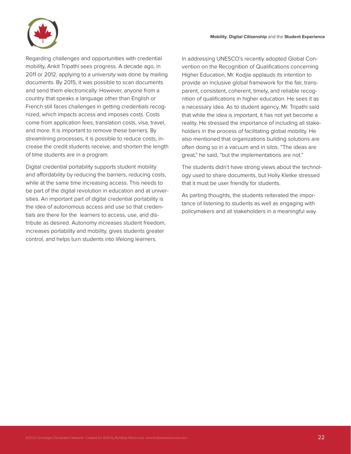

Regarding challenges and opportunities with credential mobility, Ankit Tripathi sees progress. A decade ago, in 2011 or 2012, applying to a university was done by mailing documents. By 2015, it was possible to scan documents and send them electronically. However, anyone from a country that speaks a language other than English or French still faces challenges in getting credentials recognized, which impacts access and imposes costs. Costs come from application fees, translation costs, visa, travel, and more. It is important to remove these barriers. By streamlining processes, it is possible to reduce costs, increase the credit students receive, and shorten the length of time students are in a program.

Digital credential portability supports student mobility and affordability by reducing the barriers, reducing costs, while at the same time increasing access. This needs to be part of the digital revolution in education and at universities. An important part of digital credential portability is the idea of autonomous access and use so that credentials are there for the learners to access, use, and distribute as desired. Autonomy increases student freedom, increases portability and mobility, gives students greater control, and helps turn students into lifelong learners.

In addressing UNESCO's recently adopted Global Convention on the Recognition of Qualifications concerning Higher Education, Mr. Kodjie applauds its intention to provide an inclusive global framework for the fair, transparent, consistent, coherent, timely, and reliable recognition of qualifications in higher education. He sees it as a necessary idea. As to student agency, Mr. Tripathi said that while the idea is important, it has not yet become a reality. He stressed the importance of including all stakeholders in the process of facilitating global mobility. He also mentioned that organizations building solutions are often doing so in a vacuum and in silos. "The ideas are great," he said, "but the implementations are not."

The students didn't have strong views about the technology used to share documents, but Holly Kletke stressed that it must be user friendly for students.

As parting thoughts, the students reiterated the importance of listening to students as well as engaging with policymakers and all stakeholders in a meaningful way.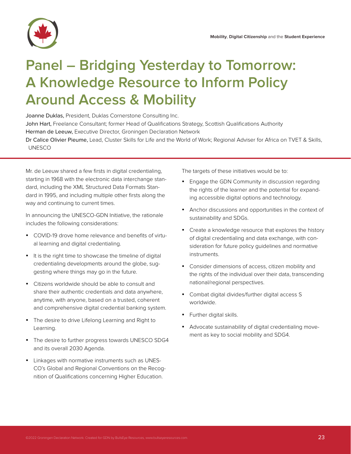

## **Panel – Bridging Yesterday to Tomorrow: A Knowledge Resource to Inform Policy Around Access & Mobility**

Joanne Duklas, President, Duklas Cornerstone Consulting Inc. John Hart, Freelance Consultant; former Head of Qualifications Strategy, Scottish Qualifications Authority Herman de Leeuw, Executive Director, Groningen Declaration Network

Dr Calice Olivier Pieume, Lead, Cluster Skills for Life and the World of Work; Regional Adviser for Africa on TVET & Skills, UNESCO

Mr. de Leeuw shared a few firsts in digital credentialing, starting in 1968 with the electronic data interchange standard, including the XML Structured Data Formats Standard in 1995, and including multiple other firsts along the way and continuing to current times.

In announcing the UNESCO-GDN Initiative, the rationale includes the following considerations:

- COVID-19 drove home relevance and benefits of virtual learning and digital credentialing.
- It is the right time to showcase the timeline of digital credentialing developments around the globe, suggesting where things may go in the future.
- Citizens worldwide should be able to consult and share their authentic credentials and data anywhere, anytime, with anyone, based on a trusted, coherent and comprehensive digital credential banking system.
- The desire to drive Lifelong Learning and Right to Learning.
- The desire to further progress towards UNESCO SDG4 and its overall 2030 Agenda.
- Linkages with normative instruments such as UNES-CO's Global and Regional Conventions on the Recognition of Qualifications concerning Higher Education.

The targets of these initiatives would be to:

- Engage the GDN Community in discussion regarding the rights of the learner and the potential for expanding accessible digital options and technology.
- Anchor discussions and opportunities in the context of sustainability and SDGs.
- Create a knowledge resource that explores the history of digital credentialing and data exchange, with consideration for future policy guidelines and normative instruments.
- Consider dimensions of access, citizen mobility and the rights of the individual over their data, transcending national/regional perspectives.
- Combat digital divides/further digital access S worldwide.
- Further digital skills.
- Advocate sustainability of digital credentialing movement as key to social mobility and SDG4.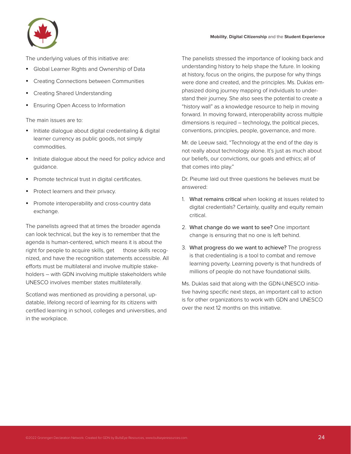

The underlying values of this initiative are:

- Global Learner Rights and Ownership of Data
- Creating Connections between Communities
- Creating Shared Understanding
- Ensuring Open Access to Information

The main issues are to:

- Initiate dialogue about digital credentialing & digital learner currency as public goods, not simply commodities.
- Initiate dialogue about the need for policy advice and guidance.
- Promote technical trust in digital certificates.
- Protect learners and their privacy.
- Promote interoperability and cross-country data exchange.

The panelists agreed that at times the broader agenda can look technical, but the key is to remember that the agenda is human-centered, which means it is about the right for people to acquire skills, get those skills recognized, and have the recognition statements accessible. All efforts must be multilateral and involve multiple stakeholders – with GDN involving multiple stakeholders while UNESCO involves member states multilaterally.

Scotland was mentioned as providing a personal, updatable, lifelong record of learning for its citizens with certified learning in school, colleges and universities, and in the workplace.

The panelists stressed the importance of looking back and understanding history to help shape the future. In looking at history, focus on the origins, the purpose for why things were done and created, and the principles. Ms. Duklas emphasized doing journey mapping of individuals to understand their journey. She also sees the potential to create a "history wall" as a knowledge resource to help in moving forward. In moving forward, interoperability across multiple dimensions is required – technology, the political pieces, conventions, principles, people, governance, and more.

Mr. de Leeuw said, "Technology at the end of the day is not really about technology alone. It's just as much about our beliefs, our convictions, our goals and ethics; all of that comes into play."

Dr. Pieume laid out three questions he believes must be answered:

- 1. What remains critical when looking at issues related to digital credentials? Certainly, quality and equity remain critical.
- 2. What change do we want to see? One important change is ensuring that no one is left behind.
- 3. What progress do we want to achieve? The progress is that credentialing is a tool to combat and remove learning poverty. Learning poverty is that hundreds of millions of people do not have foundational skills.

Ms. Duklas said that along with the GDN-UNESCO initiative having specific next steps, an important call to action is for other organizations to work with GDN and UNESCO over the next 12 months on this initiative.